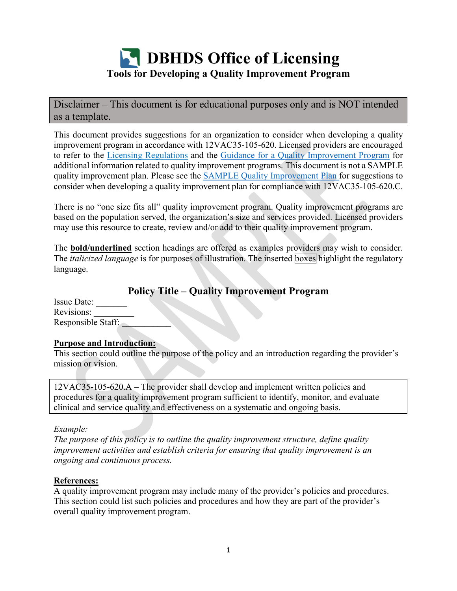

Disclaimer – This document is for educational purposes only and is NOT intended as a template.

This document provides suggestions for an organization to consider when developing a quality improvement program in accordance with 12VAC35-105-620. Licensed providers are encouraged to refer to the [Licensing Regulations](https://law.lis.virginia.gov/admincode/title12/agency35/chapter105/) and the [Guidance for a Quality Improvement Program](https://townhall.virginia.gov/L/GetFile.cfm?File=C:%5CTownHall%5Cdocroot%5CGuidanceDocs%5C720%5CGDoc_DBHDS_6414_v3.pdf) for additional information related to quality improvement programs. This document is not a SAMPLE quality improvement plan. Please see the [SAMPLE Quality Improvement Plan](https://www.dbhds.virginia.gov/assets/doc/QMD/OL/sample-provider-quality-improvement-plan-6-2021.pdf) for suggestions to consider when developing a quality improvement plan for compliance with 12VAC35-105-620.C.

There is no "one size fits all" quality improvement program. Quality improvement programs are based on the population served, the organization's size and services provided. Licensed providers may use this resource to create, review and/or add to their quality improvement program.

The **bold/underlined** section headings are offered as examples providers may wish to consider. The *italicized language* is for purposes of illustration. The inserted boxes highlight the regulatory language.

# **Policy Title – Quality Improvement Program**

| Issue Date:        |  |
|--------------------|--|
| Revisions:         |  |
| Responsible Staff: |  |

### **Purpose and Introduction:**

This section could outline the purpose of the policy and an introduction regarding the provider's mission or vision.

12VAC35-105-620.A – The provider shall develop and implement written policies and procedures for a quality improvement program sufficient to identify, monitor, and evaluate clinical and service quality and effectiveness on a systematic and ongoing basis.

### *Example:*

*The purpose of this policy is to outline the quality improvement structure, define quality improvement activities and establish criteria for ensuring that quality improvement is an ongoing and continuous process.*

# **References:**

A quality improvement program may include many of the provider's policies and procedures. This section could list such policies and procedures and how they are part of the provider's overall quality improvement program.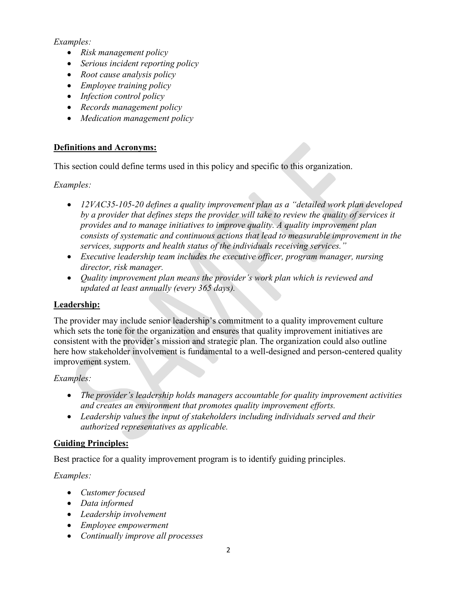### *Examples:*

- *Risk management policy*
- *Serious incident reporting policy*
- *Root cause analysis policy*
- *Employee training policy*
- *Infection control policy*
- *Records management policy*
- *Medication management policy*

# **Definitions and Acronyms:**

This section could define terms used in this policy and specific to this organization.

*Examples:*

- *12VAC35-105-20 defines a quality improvement plan as a "detailed work plan developed by a provider that defines steps the provider will take to review the quality of services it provides and to manage initiatives to improve quality. A quality improvement plan consists of systematic and continuous actions that lead to measurable improvement in the services, supports and health status of the individuals receiving services."*
- *Executive leadership team includes the executive officer, program manager, nursing director, risk manager.*
- *Quality improvement plan means the provider's work plan which is reviewed and updated at least annually (every 365 days).*

# **Leadership:**

The provider may include senior leadership's commitment to a quality improvement culture which sets the tone for the organization and ensures that quality improvement initiatives are consistent with the provider's mission and strategic plan. The organization could also outline here how stakeholder involvement is fundamental to a well-designed and person-centered quality improvement system.

# *Examples:*

- *The provider's leadership holds managers accountable for quality improvement activities and creates an environment that promotes quality improvement efforts.*
- *Leadership values the input of stakeholders including individuals served and their authorized representatives as applicable.*

# **Guiding Principles:**

Best practice for a quality improvement program is to identify guiding principles.

*Examples:*

- *Customer focused*
- *Data informed*
- *Leadership involvement*
- *Employee empowerment*
- *Continually improve all processes*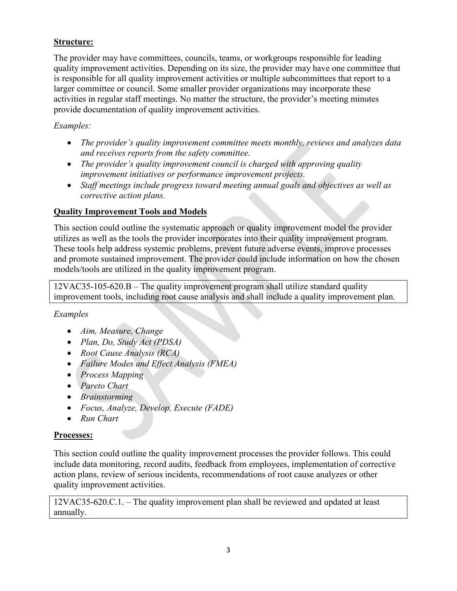### **Structure:**

The provider may have committees, councils, teams, or workgroups responsible for leading quality improvement activities. Depending on its size, the provider may have one committee that is responsible for all quality improvement activities or multiple subcommittees that report to a larger committee or council. Some smaller provider organizations may incorporate these activities in regular staff meetings. No matter the structure, the provider's meeting minutes provide documentation of quality improvement activities.

### *Examples:*

- *The provider's quality improvement committee meets monthly, reviews and analyzes data and receives reports from the safety committee.*
- *The provider's quality improvement council is charged with approving quality improvement initiatives or performance improvement projects.*
- *Staff meetings include progress toward meeting annual goals and objectives as well as corrective action plans.*

### **Quality Improvement Tools and Models**

This section could outline the systematic approach or quality improvement model the provider utilizes as well as the tools the provider incorporates into their quality improvement program. These tools help address systemic problems, prevent future adverse events, improve processes and promote sustained improvement. The provider could include information on how the chosen models/tools are utilized in the quality improvement program.

12VAC35-105-620.B – The quality improvement program shall utilize standard quality improvement tools, including root cause analysis and shall include a quality improvement plan.

### *Examples*

- *Aim, Measure, Change*
- *Plan, Do, Study Act (PDSA)*
- *Root Cause Analysis (RCA)*
- *Failure Modes and Effect Analysis (FMEA)*
- *Process Mapping*
- *Pareto Chart*
- *Brainstorming*
- *Focus, Analyze, Develop, Execute (FADE)*
- *Run Chart*

### **Processes:**

This section could outline the quality improvement processes the provider follows. This could include data monitoring, record audits, feedback from employees, implementation of corrective action plans, review of serious incidents, recommendations of root cause analyzes or other quality improvement activities.

12VAC35-620.C.1. – The quality improvement plan shall be reviewed and updated at least annually.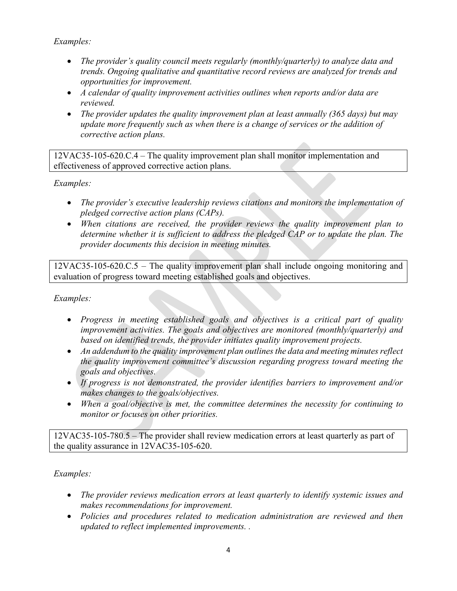*Examples:*

- *The provider's quality council meets regularly (monthly/quarterly) to analyze data and trends. Ongoing qualitative and quantitative record reviews are analyzed for trends and opportunities for improvement.*
- *A calendar of quality improvement activities outlines when reports and/or data are reviewed.*
- *The provider updates the quality improvement plan at least annually (365 days) but may update more frequently such as when there is a change of services or the addition of corrective action plans.*

12VAC35-105-620.C.4 – The quality improvement plan shall monitor implementation and effectiveness of approved corrective action plans.

*Examples:*

- *The provider's executive leadership reviews citations and monitors the implementation of pledged corrective action plans (CAPs).*
- *When citations are received, the provider reviews the quality improvement plan to determine whether it is sufficient to address the pledged CAP or to update the plan. The provider documents this decision in meeting minutes.*

12VAC35-105-620.C.5 – The quality improvement plan shall include ongoing monitoring and evaluation of progress toward meeting established goals and objectives.

*Examples:*

- *Progress in meeting established goals and objectives is a critical part of quality improvement activities. The goals and objectives are monitored (monthly/quarterly) and based on identified trends, the provider initiates quality improvement projects.*
- *An addendum to the quality improvement plan outlines the data and meeting minutes reflect the quality improvement committee's discussion regarding progress toward meeting the goals and objectives.*
- *If progress is not demonstrated, the provider identifies barriers to improvement and/or makes changes to the goals/objectives.*
- *When a goal/objective is met, the committee determines the necessity for continuing to monitor or focuses on other priorities.*

12VAC35-105-780.5 – The provider shall review medication errors at least quarterly as part of the quality assurance in 12VAC35-105-620.

*Examples:*

- *The provider reviews medication errors at least quarterly to identify systemic issues and makes recommendations for improvement.*
- *Policies and procedures related to medication administration are reviewed and then updated to reflect implemented improvements. .*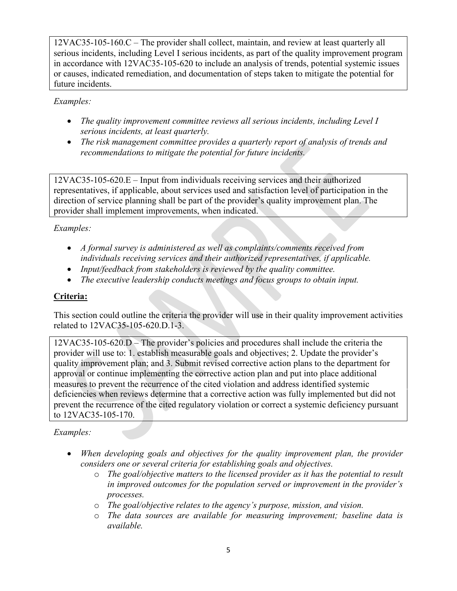12VAC35-105-160.C – The provider shall collect, maintain, and review at least quarterly all serious incidents, including Level I serious incidents, as part of the quality improvement program in accordance with 12VAC35-105-620 to include an analysis of trends, potential systemic issues or causes, indicated remediation, and documentation of steps taken to mitigate the potential for future incidents.

*Examples:*

- *The quality improvement committee reviews all serious incidents, including Level I serious incidents, at least quarterly.*
- *The risk management committee provides a quarterly report of analysis of trends and recommendations to mitigate the potential for future incidents.*

12VAC35-105-620.E – Input from individuals receiving services and their authorized representatives, if applicable, about services used and satisfaction level of participation in the direction of service planning shall be part of the provider's quality improvement plan. The provider shall implement improvements, when indicated.

# *Examples:*

- *A formal survey is administered as well as complaints/comments received from individuals receiving services and their authorized representatives, if applicable.*
- *Input/feedback from stakeholders is reviewed by the quality committee.*
- *The executive leadership conducts meetings and focus groups to obtain input.*

# **Criteria:**

This section could outline the criteria the provider will use in their quality improvement activities related to 12VAC35-105-620.D.1-3.

12VAC35-105-620.D – The provider's policies and procedures shall include the criteria the provider will use to: 1. establish measurable goals and objectives; 2. Update the provider's quality improvement plan; and 3. Submit revised corrective action plans to the department for approval or continue implementing the corrective action plan and put into place additional measures to prevent the recurrence of the cited violation and address identified systemic deficiencies when reviews determine that a corrective action was fully implemented but did not prevent the recurrence of the cited regulatory violation or correct a systemic deficiency pursuant to 12VAC35-105-170.

# *Examples:*

- *When developing goals and objectives for the quality improvement plan, the provider considers one or several criteria for establishing goals and objectives.* 
	- o *The goal/objective matters to the licensed provider as it has the potential to result in improved outcomes for the population served or improvement in the provider's processes.*
	- o *The goal/objective relates to the agency's purpose, mission, and vision.*
	- o *The data sources are available for measuring improvement; baseline data is available.*